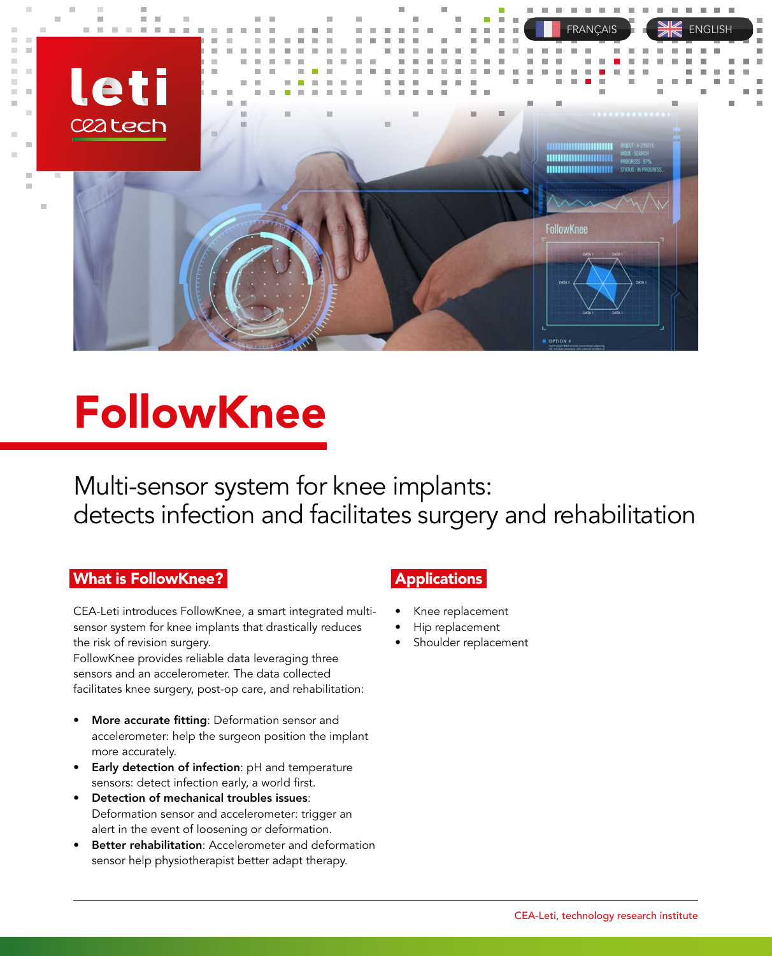

# FollowKnee

Multi-sensor system for knee implants: detects infection and facilitates surgery and rehabilitation

### What is FollowKnee? **Num**

CEA-Leti introduces FollowKnee, a smart integrated multisensor system for knee implants that drastically reduces the risk of revision surgery.  $\;$ 

FollowKnee provides reliable data leveraging three sensors and an accelerometer. The data collected facilitates knee surgery, post-op care, and rehabilitation:

- More accurate fitting: Deformation sensor and accelerometer: help the surgeon position the implant more accurately. The state for the more securities
- Early detection of infection: pH and temperature sensors: detect infection early, a world first.
- Detection of mechanical troubles issues: Deformation sensor and accelerometer: trigger an alert in the event of loosening or deformation.
- **Better rehabilitation**: Accelerometer and deformation sensor help physiotherapist better adapt therapy.

# **Applications**

- $\bullet$  Knee replacement
- $\bullet$  Hip replacement
- Shoulder replacement